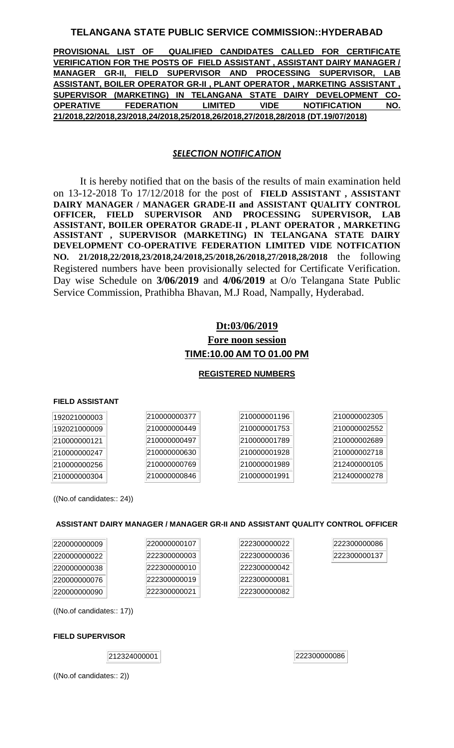## **TELANGANA STATE PUBLIC SERVICE COMMISSION::HYDERABAD**

**PROVISIONAL LIST OF QUALIFIED CANDIDATES CALLED FOR CERTIFICATE VERIFICATION FOR THE POSTS OF FIELD ASSISTANT , ASSISTANT DAIRY MANAGER / MANAGER GR-II, FIELD SUPERVISOR AND PROCESSING SUPERVISOR, LAB ASSISTANT, BOILER OPERATOR GR-II , PLANT OPERATOR , MARKETING ASSISTANT , SUPERVISOR (MARKETING) IN TELANGANA STATE DAIRY DEVELOPMENT CO-OPERATIVE FEDERATION LIMITED VIDE NOTIFICATION NO. 21/2018,22/2018,23/2018,24/2018,25/2018,26/2018,27/2018,28/2018 (DT.19/07/2018)**

## *SELECTION NOTIFICATION*

It is hereby notified that on the basis of the results of main examination held on 13-12-2018 To 17/12/2018 for the post of **FIELD ASSISTANT , ASSISTANT DAIRY MANAGER / MANAGER GRADE-II and ASSISTANT QUALITY CONTROL OFFICER, FIELD SUPERVISOR AND PROCESSING SUPERVISOR, LAB ASSISTANT, BOILER OPERATOR GRADE-II , PLANT OPERATOR , MARKETING ASSISTANT , SUPERVISOR (MARKETING) IN TELANGANA STATE DAIRY DEVELOPMENT CO-OPERATIVE FEDERATION LIMITED VIDE NOTFICATION NO. 21/2018,22/2018,23/2018,24/2018,25/2018,26/2018,27/2018,28/2018** the following Registered numbers have been provisionally selected for Certificate Verification. Day wise Schedule on **3/06/2019** and **4/06/2019** at O/o Telangana State Public Service Commission, Prathibha Bhavan, M.J Road, Nampally, Hyderabad.

# **Dt:03/06/2019 Fore noon session TIME:10.00 AM TO 01.00 PM**

## **REGISTERED NUMBERS**

## **FIELD ASSISTANT**

| 192021000003 | 210000000377 | 210000001196 | 210000002305 |
|--------------|--------------|--------------|--------------|
| 192021000009 | 210000000449 | 210000001753 | 210000002552 |
| 210000000121 | 210000000497 | 210000001789 | 210000002689 |
| 210000000247 | 210000000630 | 210000001928 | 210000002718 |
| 210000000256 | 210000000769 | 210000001989 | 212400000105 |
| 210000000304 | 210000000846 | 210000001991 | 212400000278 |
|              |              |              |              |

((No.of candidates:: 24))

## **ASSISTANT DAIRY MANAGER / MANAGER GR-II AND ASSISTANT QUALITY CONTROL OFFICER**

| 220000000009 | 220000000107 | 222300000022 | 22230000008 |
|--------------|--------------|--------------|-------------|
| 220000000022 | 222300000003 | 222300000036 | 22230000011 |
| 220000000038 | 222300000010 | 222300000042 |             |
| 220000000076 | 222300000019 | 222300000081 |             |
| 220000000090 | 222300000021 | 222300000082 |             |

((No.of candidates:: 17))

#### **FIELD SUPERVISOR**

 $|212324000001|$ 

((No.of candidates:: 2))

86 37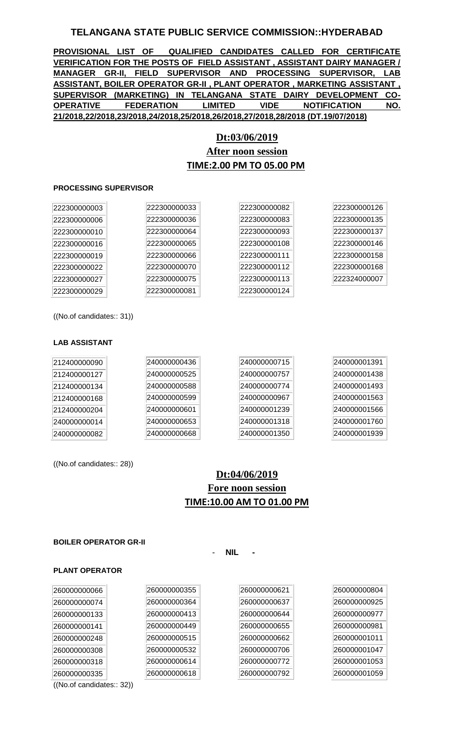## **TELANGANA STATE PUBLIC SERVICE COMMISSION::HYDERABAD**

**PROVISIONAL LIST OF QUALIFIED CANDIDATES CALLED FOR CERTIFICATE VERIFICATION FOR THE POSTS OF FIELD ASSISTANT , ASSISTANT DAIRY MANAGER / MANAGER GR-II, FIELD SUPERVISOR AND PROCESSING SUPERVISOR, LAB ASSISTANT, BOILER OPERATOR GR-II , PLANT OPERATOR , MARKETING ASSISTANT , SUPERVISOR (MARKETING) IN TELANGANA STATE DAIRY DEVELOPMENT CO-OPERATIVE FEDERATION LIMITED VIDE NOTIFICATION NO. 21/2018,22/2018,23/2018,24/2018,25/2018,26/2018,27/2018,28/2018 (DT.19/07/2018)**

# **Dt:03/06/2019 After noon session TIME:2.00 PM TO 05.00 PM**

#### **PROCESSING SUPERVISOR**

| 222300000003 | 222300000033 | 222300000082 | 222300000126 |
|--------------|--------------|--------------|--------------|
| 222300000006 | 222300000036 | 222300000083 | 222300000135 |
| 222300000010 | 222300000064 | 222300000093 | 222300000137 |
| 222300000016 | 222300000065 | 222300000108 | 222300000146 |
| 222300000019 | 222300000066 | 222300000111 | 222300000158 |
| 222300000022 | 222300000070 | 222300000112 | 222300000168 |
| 222300000027 | 222300000075 | 222300000113 | 222324000007 |
| 222300000029 | 222300000081 | 222300000124 |              |

((No.of candidates:: 31))

#### **LAB ASSISTANT**

| 212400000090 | 240000000436 | 240000000715 | 240000001391 |
|--------------|--------------|--------------|--------------|
| 212400000127 | 240000000525 | 240000000757 | 240000001438 |
| 212400000134 | 240000000588 | 240000000774 | 240000001493 |
| 212400000168 | 240000000599 | 240000000967 | 240000001563 |
| 212400000204 | 240000000601 | 240000001239 | 240000001566 |
| 240000000014 | 240000000653 | 240000001318 | 240000001760 |
| 240000000082 | 240000000668 | 240000001350 | 240000001939 |

((No.of candidates:: 28))

# **Dt:04/06/2019 Fore noon session TIME:10.00 AM TO 01.00 PM**

- **NIL -**

#### **BOILER OPERATOR GR-II**

# **PLANT OPERATOR**

| 260000000066               | 260000000355 | 260000000621 | 2600000 |
|----------------------------|--------------|--------------|---------|
| 260000000074               | 260000000364 | 260000000637 | 2600000 |
| 260000000133               | 260000000413 | 260000000644 | 2600000 |
| 260000000141               | 260000000449 | 260000000655 | 2600000 |
| 260000000248               | 260000000515 | 260000000662 | 2600000 |
| 260000000308               | 260000000532 | 260000000706 | 2600000 |
| 260000000318               | 260000000614 | 260000000772 | 260000  |
| 260000000335               | 260000000618 | 260000000792 | 2600000 |
| ((No. of candidates:: 32)) |              |              |         |